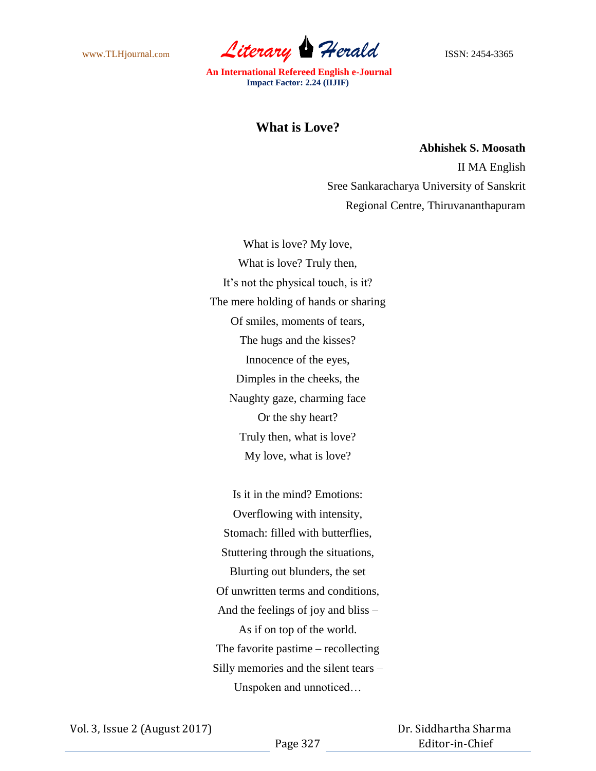www.TLHjournal.com *Literary Herald* ISSN: 2454-3365

## **What is Love?**

**Abhishek S. Moosath** II MA English Sree Sankaracharya University of Sanskrit Regional Centre, Thiruvananthapuram

What is love? My love, What is love? Truly then, It's not the physical touch, is it? The mere holding of hands or sharing Of smiles, moments of tears, The hugs and the kisses? Innocence of the eyes, Dimples in the cheeks, the Naughty gaze, charming face Or the shy heart? Truly then, what is love? My love, what is love?

Is it in the mind? Emotions: Overflowing with intensity, Stomach: filled with butterflies, Stuttering through the situations, Blurting out blunders, the set Of unwritten terms and conditions, And the feelings of joy and bliss – As if on top of the world. The favorite pastime – recollecting Silly memories and the silent tears – Unspoken and unnoticed…

 Dr. Siddhartha Sharma Editor-in-Chief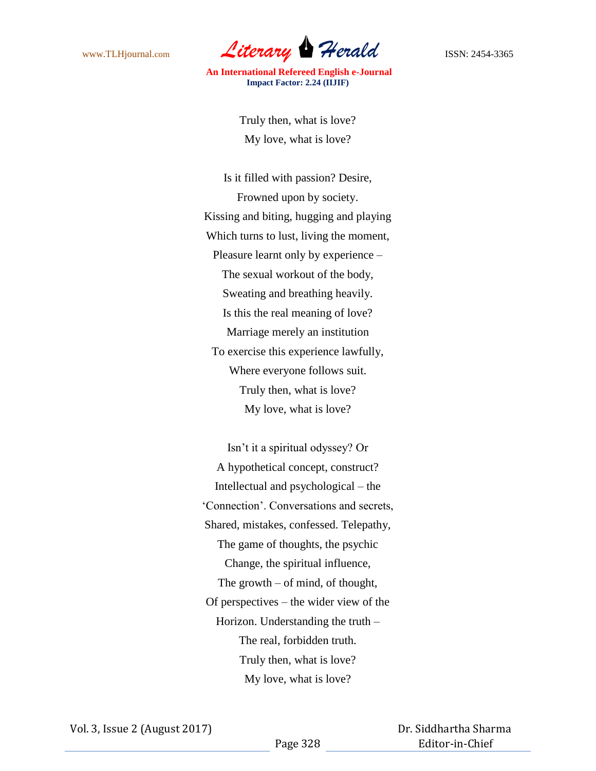

> Truly then, what is love? My love, what is love?

Is it filled with passion? Desire, Frowned upon by society. Kissing and biting, hugging and playing Which turns to lust, living the moment, Pleasure learnt only by experience – The sexual workout of the body, Sweating and breathing heavily. Is this the real meaning of love? Marriage merely an institution To exercise this experience lawfully, Where everyone follows suit. Truly then, what is love? My love, what is love?

Isn't it a spiritual odyssey? Or A hypothetical concept, construct? Intellectual and psychological – the 'Connection'. Conversations and secrets, Shared, mistakes, confessed. Telepathy, The game of thoughts, the psychic Change, the spiritual influence, The growth – of mind, of thought, Of perspectives – the wider view of the Horizon. Understanding the truth – The real, forbidden truth. Truly then, what is love? My love, what is love?

 Dr. Siddhartha Sharma Editor-in-Chief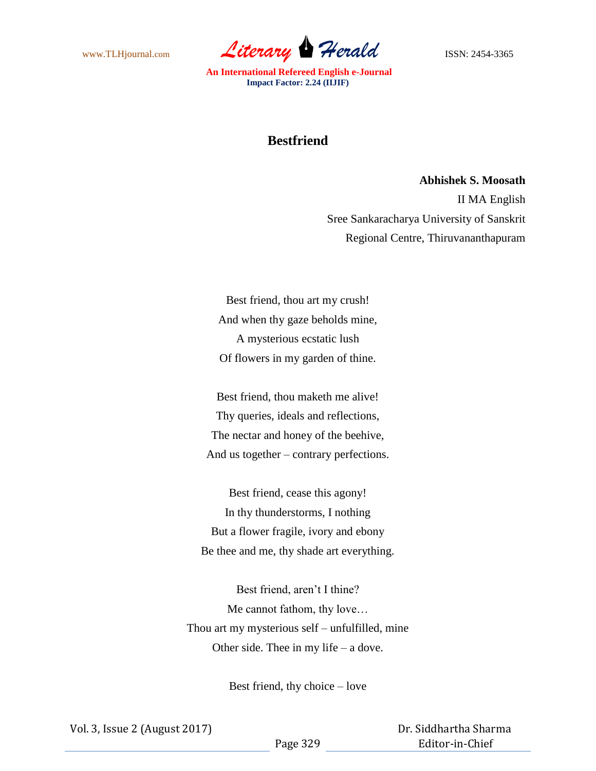www.TLHjournal.com *Literary Herald* ISSN: 2454-3365

## **Bestfriend**

**Abhishek S. Moosath** II MA English Sree Sankaracharya University of Sanskrit Regional Centre, Thiruvananthapuram

Best friend, thou art my crush! And when thy gaze beholds mine, A mysterious ecstatic lush Of flowers in my garden of thine.

Best friend, thou maketh me alive! Thy queries, ideals and reflections, The nectar and honey of the beehive, And us together – contrary perfections.

Best friend, cease this agony! In thy thunderstorms, I nothing But a flower fragile, ivory and ebony Be thee and me, thy shade art everything.

Best friend, aren't I thine? Me cannot fathom, thy love… Thou art my mysterious self – unfulfilled, mine Other side. Thee in my life – a dove.

Best friend, thy choice – love

 Dr. Siddhartha Sharma Editor-in-Chief

Page 329